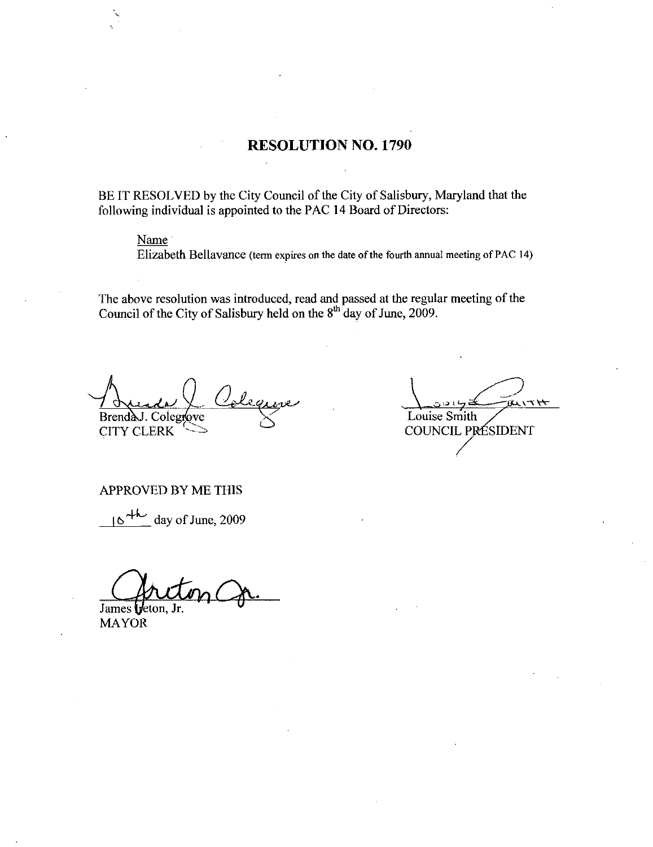# RESOLUTION NO. 1790

BE IT RESOLVED by the City Council of the City of Salisbury, Maryland that the following individual is appointed to the PAC 14 Board of Directors:

## Name

Elizabeth Bellavance (term expires on the date of the fourth annual meeting of PAC 14)

The above resolution was introduced, read and passed at the regular meeting of the Council of the City of Salisbury held on the  $8<sup>th</sup>$  day of June, 2009

Brend Colegtcwe Louise Smith

COUNCIL PRÉSIDENT

#### APPROVED BY ME THIS

 $16$ <sup>+h</sup> day of June, 2009

James treton, Jr

MAYOR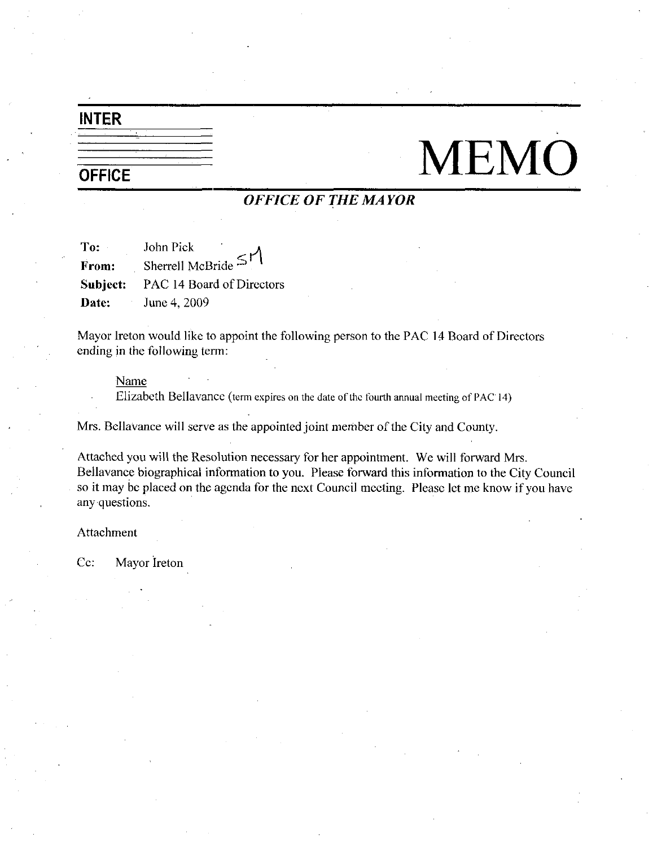# INTER

# $\frac{1}{\sqrt{1-\frac{1}{1-\frac{1}{1-\frac{1}{1-\frac{1}{1-\frac{1}{1-\frac{1}{1-\frac{1}{1-\frac{1}{1-\frac{1}{1-\frac{1}{1-\frac{1}{1-\frac{1}{1-\frac{1}{1-\frac{1}{1-\frac{1}{1-\frac{1}{1-\frac{1}{1-\frac{1}{1-\frac{1}{1-\frac{1}{1-\frac{1}{1-\frac{1}{1-\frac{1}{1-\frac{1}{1-\frac{1}{1-\frac{1}{1-\frac{1}{1-\frac{1}{1-\frac{1}{1-\frac{1}{1-\frac{1}{1-\frac{1}{1-\frac{1}{1-\frac{1}{1-\frac{1}{1-\$

# OFFICE OF THE MAYOR

| To:      | John Pick<br>٠            |
|----------|---------------------------|
| From:    | Sherrell McBride $\leq$   |
| Subject: | PAC 14 Board of Directors |
| Date:    | June 4, 2009              |

Mayor Ireton would like to appoint the following person to the PAC 14 Board of Directors ending in the following term

Name

Elizabeth Bellavance (term expires on the date of the fourth annual meeting of PAC 14)

Mrs. Bellavance will serve as the appointed joint member of the City and County.

Attached you will the Resolution necessary for her appointment. We will forward Mrs. Bellavance biographical information to you. Please forward this information to the City Council so it may be placed on the agenda for the next Council meeting. Please let me know if you have any questions

Attachment

Cc: Mayor Ireton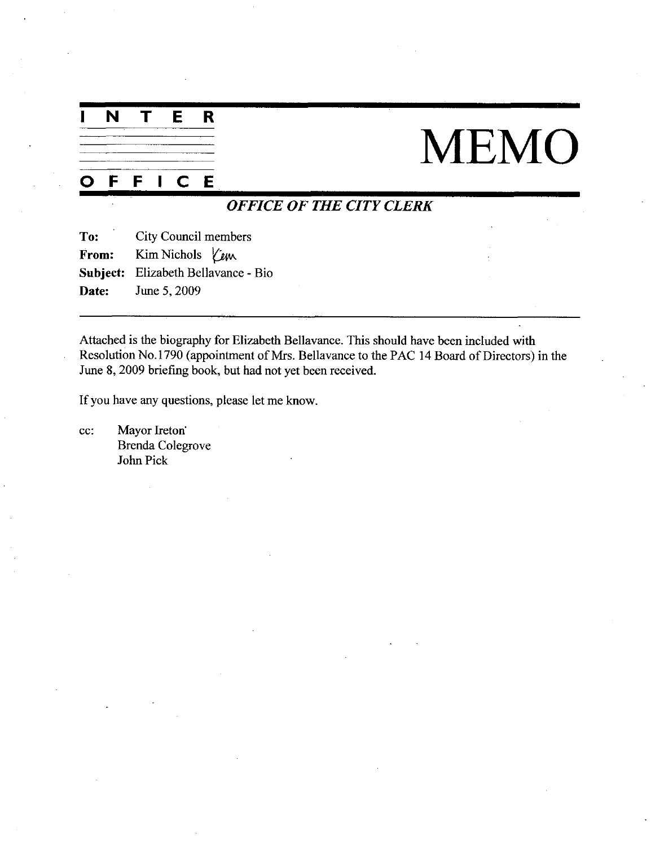| N | $\mathbf{T}$ | <b>E</b> | <b>R</b> |
|---|--------------|----------|----------|
|   |              |          |          |
|   |              |          |          |
|   |              |          |          |
|   |              |          |          |

# MEMO

# O <sup>F</sup> <sup>F</sup> <sup>I</sup> C E

# OFFICE OF THE CITY CLERK

To: City Council members From: Kim Nichols *Yew* Subject: Elizabeth Bellavance - Bio **Date:** June 5, 2009

Attached is the biography for Elizabeth Bellavance This should have been included with Resolution No.1790 (appointment of Mrs. Bellavance to the PAC 14 Board of Directors) in the June 8, 2009 briefing book, but had not yet been received.

If you have any questions, please let me know.

cc: Mayor Ireton<sup>\*</sup> Brenda Colegrove John Pick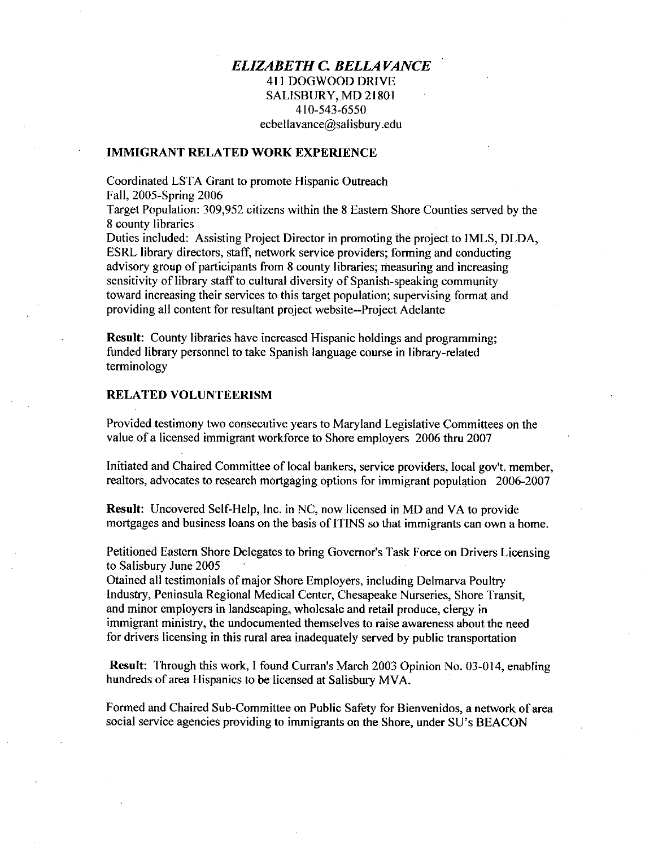# **ELIZABETH C. BELLAVANCE** 411 DOGWOOD DRIVE 411 DOGWOOD DRIVE<br>
SALISBURY, MD 2180<br>
410-543-6550<br>
thellow se@aslisbury.co  $410-543-6550$ ecbellavance@salisbury.edu

### IMMIGRANT RELATED WORK EXPERIENCE

Coordinated LSTA Grant to promote Hispanic Outreach Fall, 2005-Spring 2006

Target Population: 309,952 citizens within the 8 Eastern Shore Counties served by the <sup>8</sup> county libraries

Duties included: Assisting Project Director in promoting the project to IMLS, DLDA, ESRL library directors, staff, network service providers; forming and conducting advisory group of participants from 8 county libraries; measuring and increasing sensitivity of library staff to cultural diversity of Spanish-speaking community toward increasing their services to this target population; supervising format and providing all content for resultant project website--Project Adelante

Result: County libraries have increased Hispanic holdings and programming; funded library personnel to take Spanish language course in library related terminology

### RELATED VOLUNTEERISM

Provided testimony two consecutive years to Maryland Legislative Committees on the value of <sup>a</sup> licensed immigrant workforce to Shore employers <sup>2006</sup> thru <sup>2007</sup>

Initiated and Chaired Committee of local bankers, service providers, local gov't, member, realtors, advocates to research mortgaging options for immigrant population 2006-2007 Initiated and Chaired Committee of local bankers, service providers, local gov't. member realtors, advocates to research mortgaging options for immigrant population 2006-2007<br> **Result:** Uncovered Self-Help, Inc. in NC, now

Result: Uncovered Self-Help, Inc. in NC, now licensed in MD and VA to provide mortgages and business loans on the basis of ITINS so that immigrants can own a home.

to Salisbury June 2005

Otained all testimonials of major Shore Employers, including Delmarva Poultry Industry, Peninsula Regional Medical Center, Chesapeake Nurseries, Shore Transit, and minor employers in landscaping, wholesale and retail produce, clergy in immigrant ministry, the undocumented themselves to raise awareness about the need for drivers icensing in this rural area inadequately served by public transportation

Result: Through this work, I found Curran's March 2003 Opinion No. 03-014, enabling hundreds of area Hispanics to be licensed at Salisbury MVA.

hundreds of area Hispanics to be licensed at Salisbury MVA.<br>Formed and Chaired Sub-Committee on Public Safety for Bienvenidos, a network of area Formed and Chaired Sub-Committee on Public Safety for Bienvenidos, a network of social service agencies providing to immigrants on the Shore, under SU's BEACON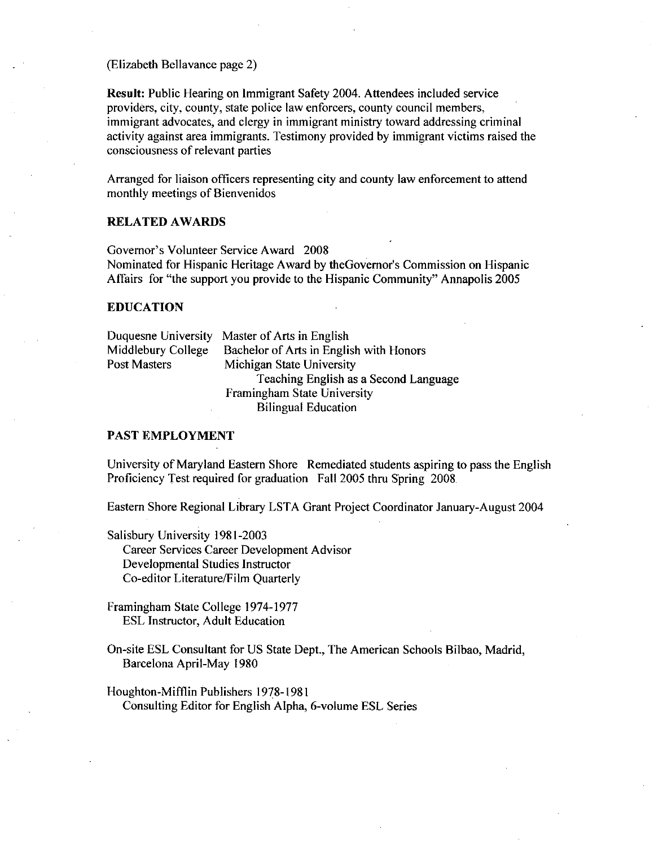Elizabeth Bellavance page 2

Result: Public Hearing on Immigrant Safety 2004. Attendees included service providers, city, county, state police law enforcers, county council members, immigrant advocates, and clergy in immigrant ministry toward addressing criminal activity against area immigrants. Testimony provided by immigrant victims raised the consciousness of relevant parties

Arranged for liaison officers representing city and county law enforcement to attend monthly meetings of Bienvenidos

# RELATED AWARDS

Sonstreasness of Ferenin parties<br>Arranged for liaison officers representing cit<br>monthly meetings of Bienvenidos<br>RELATED AWARDS<br>Governor's Volunteer Service Award 2008<br>Nominated for Hispanic Heritage Award by<br>Affairs for "t Arranged for liaison officers representing city and county la<br>monthly meetings of Bienvenidos<br>RELATED AWARDS<br>Governor's Volunteer Service Award 2008<br>Nominated for Hispanic Heritage Award by theGovernor's (<br>Affairs for "the Nominated for Hispanic Heritage Award by the Governor's Commission on Hispanic Affairs for "the support you provide to the Hispanic Community" Annapolis 2005

### EDUCATION

Duquesne University Master of Arts in English<br>Middlebury College Bachelor of Arts in Engli Middlebury College Bachelor of Arts in English with Honors<br>Post Masters Michigan State University Michigan State University Teaching English as a Second Language Framingham State University Bilingual Education

#### PAST EMPLOYMENT

University of Maryland Eastern Shore Remediated students aspiring to pass the English Proficiency Test required for graduation Fall 2005 thru Spring 2008

Eastern Shore Regional Library LSTA Grant Project Coordinator January August<sup>2004</sup>

Salisbury University 1981-2003 Career Services Career Development Advisor Developmental Studies Instructor Career Services Career Developme<br>Developmental Studies Instructor<br>Co-editor Literature/Film Quarterly

Framingham State College 1974-1977 ESL Instructor, Adult Education

On-site ESL Consultant for US State Dept., The American Schools Bilbao, Madrid, Barcelona April-May 1980

Houghton-Mifflin Publishers 1978-1981 Consulting Editor for English Alpha, 6-volume ESL Series